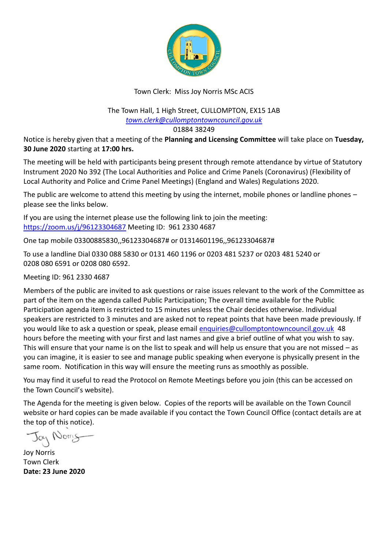

#### Town Clerk: Miss Joy Norris MSc ACIS

#### The Town Hall, 1 High Street, CULLOMPTON, EX15 1AB *[town.clerk@cullomptontowncouncil.gov.uk](mailto:town.clerk@cullomptontowncouncil.gov.uk)*

01884 38249

Notice is hereby given that a meeting of the **Planning and Licensing Committee** will take place on **Tuesday, 30 June 2020** starting at **17:00 hrs.**

The meeting will be held with participants being present through remote attendance by virtue of Statutory Instrument 2020 No 392 (The Local Authorities and Police and Crime Panels (Coronavirus) (Flexibility of Local Authority and Police and Crime Panel Meetings) (England and Wales) Regulations 2020.

The public are welcome to attend this meeting by using the internet, mobile phones or landline phones  $$ please see the links below.

If you are using the internet please use the following link to join the meeting: <https://zoom.us/j/96123304687> Meeting ID: 961 2330 4687

One tap mobile 03300885830,,96123304687# or 01314601196,,96123304687#

To use a landline Dial 0330 088 5830 or 0131 460 1196 or 0203 481 5237 or 0203 481 5240 or 0208 080 6591 or 0208 080 6592.

Meeting ID: 961 2330 4687

Members of the public are invited to ask questions or raise issues relevant to the work of the Committee as part of the item on the agenda called Public Participation; The overall time available for the Public Participation agenda item is restricted to 15 minutes unless the Chair decides otherwise. Individual speakers are restricted to 3 minutes and are asked not to repeat points that have been made previously. If you would like to ask a question or speak, please emai[l enquiries@cullomptontowncouncil.gov.uk](mailto:enquiries@cullomptontowncouncil.gov.uk) 48 hours before the meeting with your first and last names and give a brief outline of what you wish to say. This will ensure that your name is on the list to speak and will help us ensure that you are not missed – as you can imagine, it is easier to see and manage public speaking when everyone is physically present in the same room. Notification in this way will ensure the meeting runs as smoothly as possible.

You may find it useful to read the Protocol on Remote Meetings before you join (this can be accessed on the Town Council's website).

The Agenda for the meeting is given below. Copies of the reports will be available on the Town Council website or hard copies can be made available if you contact the Town Council Office (contact details are at the top of this notice).

Nom

Joy Norris Town Clerk **Date: 23 June 2020**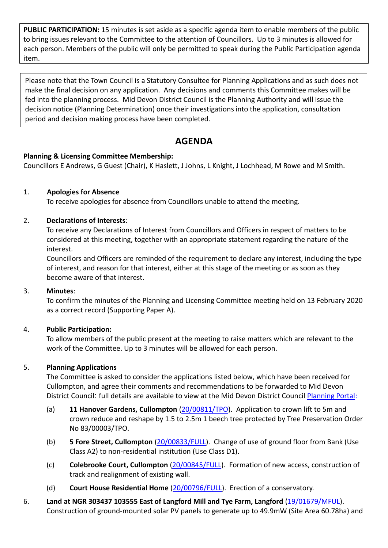**PUBLIC PARTICIPATION:** 15 minutes is set aside as a specific agenda item to enable members of the public to bring issues relevant to the Committee to the attention of Councillors. Up to 3 minutes is allowed for each person. Members of the public will only be permitted to speak during the Public Participation agenda item.

Please note that the Town Council is a Statutory Consultee for Planning Applications and as such does not make the final decision on any application. Any decisions and comments this Committee makes will be fed into the planning process. Mid Devon District Council is the Planning Authority and will issue the decision notice (Planning Determination) once their investigations into the application, consultation period and decision making process have been completed.

# **AGENDA**

#### **Planning & Licensing Committee Membership:**

Councillors E Andrews, G Guest (Chair), K Haslett, J Johns, L Knight, J Lochhead, M Rowe and M Smith.

### 1. **Apologies for Absence**

To receive apologies for absence from Councillors unable to attend the meeting.

### 2. **Declarations of Interests**:

To receive any Declarations of Interest from Councillors and Officers in respect of matters to be considered at this meeting, together with an appropriate statement regarding the nature of the interest.

Councillors and Officers are reminded of the requirement to declare any interest, including the type of interest, and reason for that interest, either at this stage of the meeting or as soon as they become aware of that interest.

#### 3. **Minutes**:

To confirm the minutes of the Planning and Licensing Committee meeting held on 13 February 2020 as a correct record (Supporting Paper A).

# 4. **Public Participation:**

To allow members of the public present at the meeting to raise matters which are relevant to the work of the Committee. Up to 3 minutes will be allowed for each person.

# 5. **Planning Applications**

The Committee is asked to consider the applications listed below, which have been received for Cullompton, and agree their comments and recommendations to be forwarded to Mid Devon District Council: full details are available to view at the Mid Devon District Council [Planning Portal:](https://planning.middevon.gov.uk/online-applications/search.do?action=simple&searchType=BuildingControl)

- (a) **11 Hanover Gardens, Cullompton** [\(20/00811/TPO\)](https://planning.middevon.gov.uk/online-applications/applicationDetails.do?activeTab=documents&keyVal=QBCPK1KS05K00). Application to crown lift to 5m and crown reduce and reshape by 1.5 to 2.5m 1 beech tree protected by Tree Preservation Order No 83/00003/TPO.
- (b) **5 Fore Street, Cullompton** [\(20/00833/FULL\)](https://planning.middevon.gov.uk/online-applications/applicationDetails.do?activeTab=documents&keyVal=QBLQJMKS04G00). Change of use of ground floor from Bank (Use Class A2) to non-residential institution (Use Class D1).
- (c) **Colebrooke Court, Cullompton** [\(20/00845/FULL\)](https://planning.middevon.gov.uk/online-applications/applicationDetails.do?activeTab=documents&keyVal=QBNMOCKS05K00). Formation of new access, construction of track and realignment of existing wall.
- (d) **Court House Residential Home** [\(20/00796/FULL\)](https://planning.middevon.gov.uk/online-applications/applicationDetails.do?activeTab=documents&keyVal=QBCEGOKS05K00). Erection of a conservatory.
- 6. **Land at NGR 303437 103555 East of Langford Mill and Tye Farm, Langford** [\(19/01679/MFUL\)](https://planning.middevon.gov.uk/online-applications/applicationDetails.do?activeTab=documents&keyVal=PZ1QICKS05K00). Construction of ground-mounted solar PV panels to generate up to 49.9mW (Site Area 60.78ha) and